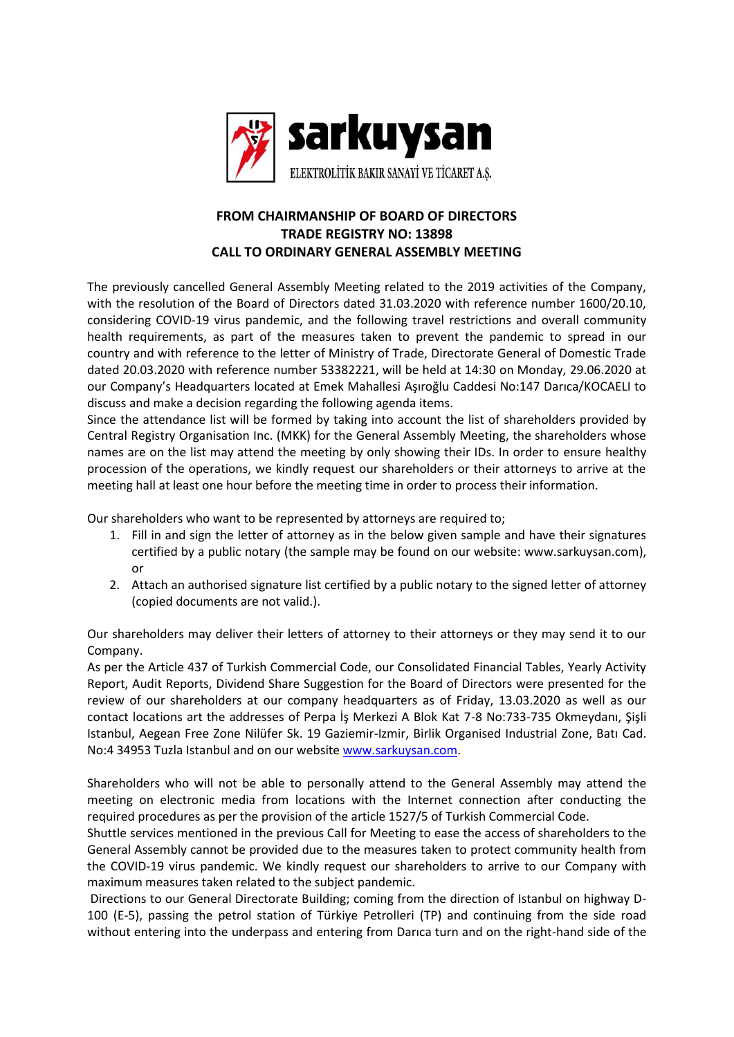

## **FROM CHAIRMANSHIP OF BOARD OF DIRECTORS TRADE REGISTRY NO: 13898 CALL TO ORDINARY GENERAL ASSEMBLY MEETING**

The previously cancelled General Assembly Meeting related to the 2019 activities of the Company, with the resolution of the Board of Directors dated 31.03.2020 with reference number 1600/20.10, considering COVID-19 virus pandemic, and the following travel restrictions and overall community health requirements, as part of the measures taken to prevent the pandemic to spread in our country and with reference to the letter of Ministry of Trade, Directorate General of Domestic Trade dated 20.03.2020 with reference number 53382221, will be held at 14:30 on Monday, 29.06.2020 at our Company's Headquarters located at Emek Mahallesi Aşıroğlu Caddesi No:147 Darıca/KOCAELI to discuss and make a decision regarding the following agenda items.

Since the attendance list will be formed by taking into account the list of shareholders provided by Central Registry Organisation Inc. (MKK) for the General Assembly Meeting, the shareholders whose names are on the list may attend the meeting by only showing their IDs. In order to ensure healthy procession of the operations, we kindly request our shareholders or their attorneys to arrive at the meeting hall at least one hour before the meeting time in order to process their information.

Our shareholders who want to be represented by attorneys are required to;

- 1. Fill in and sign the letter of attorney as in the below given sample and have their signatures certified by a public notary (the sample may be found on our website: www.sarkuysan.com), or
- 2. Attach an authorised signature list certified by a public notary to the signed letter of attorney (copied documents are not valid.).

Our shareholders may deliver their letters of attorney to their attorneys or they may send it to our Company.

As per the Article 437 of Turkish Commercial Code, our Consolidated Financial Tables, Yearly Activity Report, Audit Reports, Dividend Share Suggestion for the Board of Directors were presented for the review of our shareholders at our company headquarters as of Friday, 13.03.2020 as well as our contact locations art the addresses of Perpa İş Merkezi A Blok Kat 7-8 No:733-735 Okmeydanı, Şişli Istanbul, Aegean Free Zone Nilüfer Sk. 19 Gaziemir-Izmir, Birlik Organised Industrial Zone, Batı Cad. No:4 34953 Tuzla Istanbul and on our website [www.sarkuysan.com.](http://www.sarkuysan.com/)

Shareholders who will not be able to personally attend to the General Assembly may attend the meeting on electronic media from locations with the Internet connection after conducting the required procedures as per the provision of the article 1527/5 of Turkish Commercial Code.

Shuttle services mentioned in the previous Call for Meeting to ease the access of shareholders to the General Assembly cannot be provided due to the measures taken to protect community health from the COVID-19 virus pandemic. We kindly request our shareholders to arrive to our Company with maximum measures taken related to the subject pandemic.

Directions to our General Directorate Building; coming from the direction of Istanbul on highway D-100 (E-5), passing the petrol station of Türkiye Petrolleri (TP) and continuing from the side road without entering into the underpass and entering from Darıca turn and on the right-hand side of the